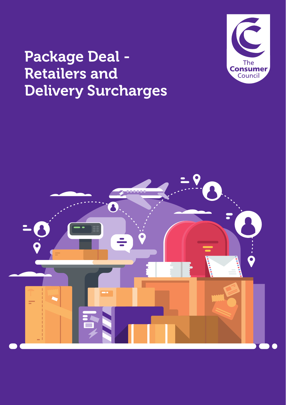# Package Deal - Retailers and Delivery Surcharges



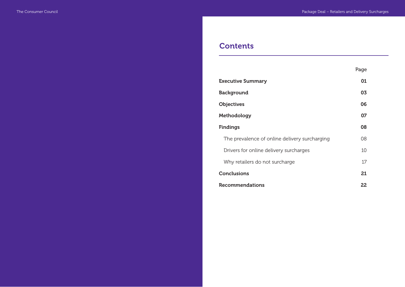# **Contents**

|                                               | Page |
|-----------------------------------------------|------|
| <b>Executive Summary</b>                      | 01   |
| <b>Background</b>                             | 03   |
| <b>Objectives</b>                             | 06   |
| Methodology                                   | 07   |
| <b>Findings</b>                               | 08   |
| The prevalence of online delivery surcharging | 08   |
| Drivers for online delivery surcharges        | 10   |
| Why retailers do not surcharge                | 17   |
| Conclusions                                   | 21   |
| Recommendations                               | 22   |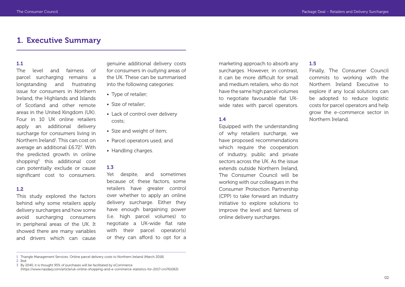# 1. Executive Summary

#### 1.1

The level and fairness of parcel surcharging remains a longstanding and frustrating issue for consumers in Northern Ireland, the Highlands and Islands of Scotland and other remote areas in the United Kingdom (UK). Four in 10 UK online retailers apply an additional delivery surcharge for consumers living in Northern Ireland<sup>1</sup>. This can cost on average an additional £6.72<sup>2</sup>. With the predicted growth in online shopping3 this additional cost can potentially exclude or cause significant cost to consumers.

## 1.2

This study explored the factors behind why some retailers apply delivery surcharges and how some avoid surcharging consumers in peripheral areas of the UK. It showed there are many variables and drivers which can cause

genuine additional delivery costs for consumers in outlying areas of the UK. These can be summarised into the following categories:

- Type of retailer;
- Size of retailer;
- Lack of control over delivery costs;
- Size and weight of item;
- Parcel operators used; and
- Handling charges.

## 1.3

Yet despite, and sometimes because of, these factors, some retailers have greater control over whether to apply an online delivery surcharge. Either they have enough bargaining power (i.e. high parcel volumes) to negotiate a UK-wide flat rate with their parcel operator(s) or they can afford to opt for a

marketing approach to absorb any surcharges. However, in contrast, it can be more difficult for small and medium retailers, who do not have the same high parcel volumes to negotiate favourable flat UKwide rates with parcel operators.

# 1.4

Equipped with the understanding of why retailers surcharge, we have proposed recommendations which require the cooperation of industry, public and private sectors across the UK. As the issue extends outside Northern Ireland, The Consumer Council will be working with our colleagues in the Consumer Protection Partnership (CPP) to take forward an industry initiative to explore solutions to improve the level and fairness of online delivery surcharges.

## 1.5

Finally, The Consumer Council commits to working with the Northern Ireland Executive to explore if any local solutions can be adopted to reduce logistic costs for parcel operators and help grow the e-commerce sector in Northern Ireland.

<sup>1</sup> Triangle Management Services: Online parcel delivery costs to Northern Ireland (March 2018)

<sup>2</sup> Ibid

<sup>3</sup> By 2040, it is thought 95% of purchases will be facilitated by eCommerce (https://www.nasdaq.com/article/uk-online-shopping-and-e-commerce-statistics-for-2017-cm761063)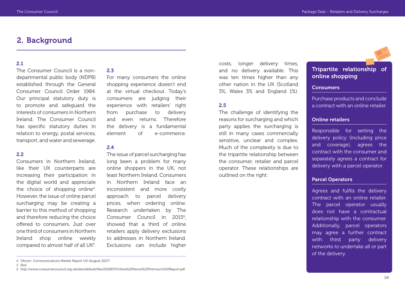# 2. Background

#### 2.1

The Consumer Council is a nondepartmental public body (NDPB) established through the General Consumer Council Order 1984. Our principal statutory duty is to promote and safeguard the interests of consumers in Northern Ireland. The Consumer Council has specific statutory duties in relation to energy, postal services, transport, and water and sewerage.

# 2.2

Consumers in Northern Ireland, like their UK counterparts are increasing their participation in the digital world and appreciate the choice of shopping online<sup>4</sup>. However, the issue of online parcel surcharging may be creating a barrier to this method of shopping and therefore reducing the choice offered to consumers. Just over one third of consumers in Northern Ireland shop online weekly compared to almost half of all UK<sup>5</sup>.

# 2.3

For many consumers the online shopping experience doesn't end at the virtual checkout. Today's consumers are judging their experience with retailers' right from purchase to delivery and even returns. Therefore the delivery is a fundamental element of e-commerce.

#### 2.4

The issue of parcel surcharging has long been a problem for many online shoppers in the UK, not least Northern Ireland. Consumers in Northern Ireland face an inconsistent and more costly approach to parcel delivery prices, when ordering online. Research undertaken by The Consumer Council in 2015<sup>6</sup>, showed that a third of online retailers apply delivery exclusions to addresses in Northern Ireland. Exclusions can include higher

costs, longer delivery times, and no delivery available. This was ten times higher than any other nation in the UK (Scotland 3%, Wales 3% and England 1%).

## 2.5

The challenge of identifying the reasons for surcharging and which party applies the surcharging is still in many cases commercially sensitive, unclear and complex. Much of the complexity is due to the tripartite relationship between the consumer, retailer and parcel operator. These relationships are outlined on the right:

# Tripartite relationship of online shopping

#### **Consumers**

Purchase products and conclude a contract with an online retailer.

#### Online retailers

Responsible for setting the delivery policy (including price and coverage), agrees the contract with the consumer and separately agrees a contract for delivery with a parcel operator.

# Parcel Operators

Agrees and fulfils the delivery contract with an online retailer. The parcel operator usually does not have a contractual relationship with the consumer. Additionally, parcel operators may agree a further contract with third party delivery networks to undertake all or part of the delivery.

<sup>4</sup> Ofcom: Communications Market Report UK (August 2017)

<sup>5</sup> Ibid

<sup>6</sup> http://www.consumercouncil.org.uk/sites/default/files/201807/Online%20Parcel%20Premium%20Report.pdf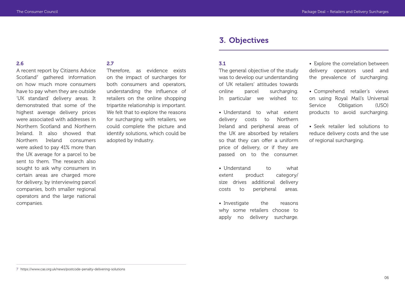# 3. Objectives

#### 2.6

A recent report by Citizens Advice Scotland<sup>7</sup> gathered information on how much more consumers have to pay when they are outside 'UK standard' delivery areas. It demonstrated that some of the highest average delivery prices were associated with addresses in Northern Scotland and Northern Ireland. It also showed that Northern Ireland consumers were asked to pay 41% more than the UK average for a parcel to be sent to them. The research also sought to ask why consumers in certain areas are charged more for delivery, by interviewing parcel companies, both smaller regional operators and the large national companies.

## 2.7

Therefore, as evidence exists on the impact of surcharges for both consumers and operators, understanding the influence of retailers on the online shopping tripartite relationship is important. We felt that to explore the reasons for surcharging with retailers, we could complete the picture and identify solutions, which could be adopted by industry.

#### 3.1

The general objective of the study was to develop our understanding of UK retailers' attitudes towards online parcel surcharging. In particular we wished to:

• Understand to what extent delivery costs to Northern Ireland and peripheral areas of the UK are absorbed by retailers so that they can offer a uniform price of delivery, or if they are passed on to the consumer.

• Understand to what extent product category/ size drives additional delivery costs to peripheral areas.

• Investigate the reasons why some retailers choose to apply no delivery surcharge. • Explore the correlation between delivery operators used and the prevalence of surcharging.

• Comprehend retailer's views on using Royal Mail's Universal Service Obligation (USO) products to avoid surcharging.

• Seek retailer led solutions to reduce delivery costs and the use of regional surcharging.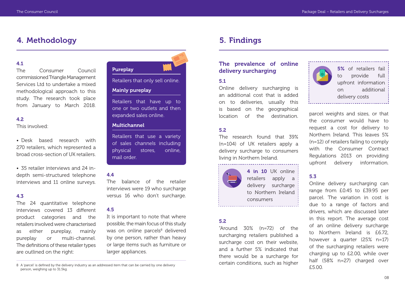# 4. Methodology 5. Findings

#### 4.1

The Consumer Council commissioned Triangle Management Services Ltd to undertake a mixed methodological approach to this study. The research took place from January to March 2018.

## 4.2

This involved:

• Desk based research with 270 retailers, which represented a broad cross-section of UK retailers.

• 35 retailer interviews and 24 indepth semi-structured telephone interviews and 11 online surveys.

#### 4.3

The 24 quantitative telephone interviews covered 13 different product categories and the retailers involved were characterised as either pureplay, mainly pureplay or multi-channel. The definitions of these retailer types are outlined on the right:



Retailers that only sell online.

## Mainly pureplay

Retailers that have up to one or two outlets and then expanded sales online.

# Multichannel

Retailers that use a variety of sales channels including physical stores, online, mail order.

## 4.4

The balance of the retailer interviews were 19 who surcharge versus 16 who don't surcharge.

## 4.5

It is important to note that where possible, the main focus of this study was on online parcels<sup>8</sup> delivered by one person, rather than heavy or large items such as furniture or larger appliances.

# The prevalence of online delivery surcharging

# 5.1

Online delivery surcharging is an additional cost that is added on to deliveries, usually this is based on the geographical location of the destination.

# 5.2

The research found that 39% (n=104) of UK retailers apply a delivery surcharge to consumers living in Northern Ireland.



4 in 10 UK online retailers apply a delivery surcharge to Northern Ireland consumers 

#### 5.2

"Around 30% (n=72) of the surcharging retailers published a surcharge cost on their website, and a further 5% indicated that there would be a surcharge for certain conditions, such as higher



5% of retailers fail to provide full upfront information on additional delivery costs

parcel weights and sizes, or that the consumer would have to request a cost for delivery to Northern Ireland. This leaves 5% (n=12) of retailers failing to comply with the Consumer Contract Regulations 2013 on providing upfront delivery information.

# 5.3

Online delivery surcharging can range from £0.45 to £39.95 per parcel. The variation in cost is due to a range of factors and drivers, which are discussed later in this report. The average cost of an online delivery surcharge to Northern Ireland is £6.72, however a quarter (25% n=17) of the surcharging retailers were charging up to £2.00, while over half (58% n=27) charged over £5.00.

<sup>8</sup> A 'parcel' is defined by the delivery industry as an addressed item that can be carried by one delivery person, weighing up to 31.5kg.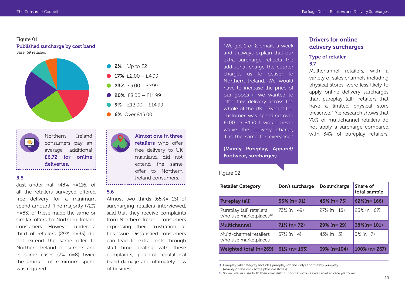Multichannel retailers, with a variety of sales channels including physical stores, were less likely to apply online delivery surcharges than pureplay (all)<sup>9</sup> retailers that have a limited physical store presence. The research shows that

Drivers for online delivery surcharges

Type of retailer

5.7

# Figure 01 Published surcharge by cost band

Base: 69 retailers





# 5.5

Just under half (48% n=116) of all the retailers surveyed offered free delivery for a minimum spend amount. The majority (72% n=83) of these made the same or similar offers to Northern Ireland consumers. However under a third of retailers (29% n=33) did not extend the same offer to Northern Ireland consumers and in some cases (7% n=8) twice the amount of minimum spend was required.

- 2% Up to £2
- 17%  $f2.00 f4.99$
- $23\%$   $f5.00 f7.99$
- $20\%$   $f8.00 f11.99$
- 9%  $f12.00 f14.99$
- 6% Over £15.00

Almost one in three retailers who offer free delivery to UK mainland, did not extend the same offer to Northern Ireland consumers.

#### 5.6

Almost two thirds (65%= 13) of surcharging retailers interviewed, said that they receive complaints from Northern Ireland consumers expressing their frustration at this issue. Dissatisfied consumers can lead to extra costs through staff time dealing with these complaints, potential reputational brand damage and ultimately loss of business.

"We get 1 or 2 emails a week and I always explain that our extra surcharge reflects the additional charge the courier charges us to deliver to Northern Ireland. We would have to increase the price of our goods if we wanted to offer free delivery across the whole of the UK… Even if the customer was spending over £100 or £150 I would never waive the delivery charge, it is the same for everyone."

(Mainly Pureplay, Apparel/ Footwear, surcharger)

#### Figure 02

# 70% of multichannel retailers do not apply a surcharge compared with 54% of pureplay retailers.

| <b>Retailer Category</b>                                       | Don't surcharge | Do surcharge   | Share of<br>total sample |
|----------------------------------------------------------------|-----------------|----------------|--------------------------|
| <b>Pureplay (all)</b>                                          | $55\%$ (n= 91)  | $45\%$ (n= 75) | $62\%$ (n= 166)          |
| Pureplay (all) retailers<br>who use marketplaces <sup>10</sup> | 73% (n= 49)     | $27\%$ (n= 18) | $25\%$ (n= 67)           |
| <b>Multichannel</b>                                            | $71\%$ (n= 72)  | $29\%$ (n= 29) | $38\%$ (n= 101)          |
| Multi-channel retailers<br>who use marketplaces                | $57\%$ (n= 4)   | $43\%$ (n= 3)  | $3\%$ (n= 7)             |
| <b>Weighted total (n=269)</b>                                  | $61\%$ (n= 163) | 39% (n=104)    | $100\%$ (n= 267)         |

9 Pureplay (all) category includes pureplay (online only) and mainly pureplay (mainly online with some physical stores).

10 Some retailers use both their own distribution networks as well marketplace platforms.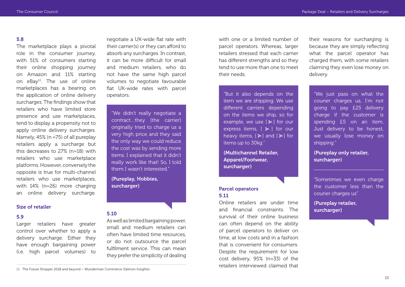The marketplace plays a pivotal role in the consumer journey, with 51% of consumers starting their online shopping journey on Amazon and 11% starting on eBay<sup>11</sup>. The use of online marketplaces has a bearing on the application of online delivery surcharges. The findings show that retailers who have limited store presence and use marketplaces, tend to display a propensity not to apply online delivery surcharges. Namely, 45% (n =75) of all pureplay retailers apply a surcharge but this decreases to 27% (n=18) with retailers who use marketplace platforms. However, conversely the opposite is true for multi-channel retailers who use marketplaces, with 14% (n=26) more charging an online delivery surcharge.

#### Size of retailer

#### 5.9

Larger retailers have greater control over whether to apply a delivery surcharge. Either they have enough bargaining power (i.e. high parcel volumes) to

negotiate a UK-wide flat rate with their carrier(s) or they can afford to absorb any surcharges. In contrast, it can be more difficult for small and medium retailers, who do not have the same high parcel volumes to negotiate favourable flat UK-wide rates with parcel operators.

"We didn't really negotiate a contract…they [the carrier] originally tried to charge us a very high price and they said the only way we could reduce the cost was by sending more items. I explained that it didn't really work like that! So, I told them I wasn't interested."

(Pureplay, Hobbies, surcharger)

## 5.10

As well as limited bargaining power, small and medium retailers can often have limited time resources, or do not outsource the parcel fulfilment service. This can mean they prefer the simplicity of dealing

with one or a limited number of parcel operators. Whereas, larger retailers stressed that each carrier has different strengths and so they tend to use more than one to meet their needs.

"But it also depends on the item we are shipping. We use different carriers depending on the items we ship, so for example, we use  $[*]$  for our express items,  $[ * ]$  for our heavy items,  $[ * ]$  and  $[ * ]$  for items up to 30kg."

(Multichannel Retailer, Apparel/Footwear, surcharger)

## Parcel operators 5.11

Online retailers are under time and financial constraints. The survival of their online business can often depend on the ability of parcel operators to deliver on time, at low costs and in a fashion that is convenient for consumers. Despite the requirement for low cost delivery, 95% (n=33) of the retailers interviewed claimed that their reasons for surcharging is because they are simply reflecting what the parcel operator has charged them, with some retailers claiming they even lose money on delivery.

"We just pass on what the courier charges us, I'm not going to pay £25 delivery charge if the customer is spending £5 on an item. Just delivery to be honest, we usually lose money on shipping."

(Pureplay only retailer, surcharger)

"Sometimes we even charge the customer less than the courier charges us"

(Pureplay retailer, surcharger)

<sup>11</sup> The Future Shopper 2018 and beyond – Wunderman Commerce (Salmon Insights).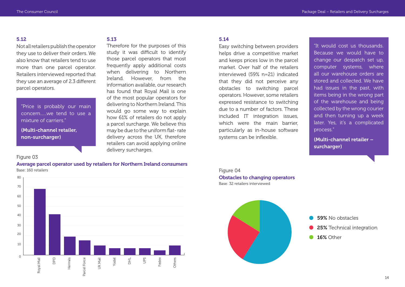Not all retailers publish the operator they use to deliver their orders. We also know that retailers tend to use more than one parcel operator. Retailers interviewed reported that they use an average of 2.3 different parcel operators.

"Price is probably our main concern …. we tend to use a mixture of carriers."

(Multi-channel retailer, non-surcharger)

## Figure 03

Average parcel operator used by retailers for Northern Ireland consumers Base: 160 retailers



#### 5.13

Therefore for the purposes of this study it was difficult to identify those parcel operators that most frequently apply additional costs when delivering to Northern Ireland. However, from the information available, our research has found that Royal Mail is one of the most popular operators for delivering to Northern Ireland. This would go some way to explain how 61% of retailers do not apply a parcel surcharge. We believe this may be due to the uniform flat- rate delivery across the UK, therefore retailers can avoid applying online delivery surcharges.

#### 5.14

Easy switching between providers helps drive a competitive market and keeps prices low in the parcel market. Over half of the retailers interviewed (59% n=21) indicated that they did not perceive any obstacles to switching parcel operators. However, some retailers expressed resistance to switching due to a number of factors. These included IT integration issues, which were the main barrier, particularly as in-house software systems can be inflexible.

"It would cost us thousands. Because we would have to change our despatch set up, computer systems, where all our warehouse orders are stored and collected. We have had issues in the past, with items being in the wrong part of the warehouse and being collected by the wrong courier and then turning up a week later. Yes, it's a complicated process."

(Multi-channel retailer – surcharger)



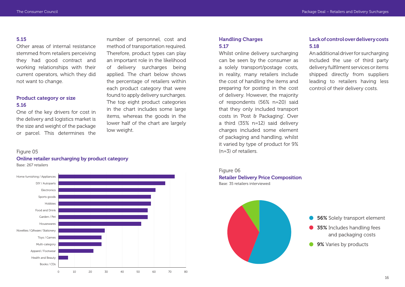Other areas of internal resistance stemmed from retailers perceiving they had good contract and working relationships with their current operators, which they did not want to change.

# Product category or size 5.16

One of the key drivers for cost in the delivery and logistics market is the size and weight of the package or parcel. This determines the

number of personnel, cost and method of transportation required. Therefore, product types can play an important role in the likelihood of delivery surcharges being applied. The chart below shows the percentage of retailers within each product category that were found to apply delivery surcharges. The top eight product categories in the chart includes some large items, whereas the goods in the lower half of the chart are largely low weight.

# Handling Charges 5.17

Whilst online delivery surcharging can be seen by the consumer as a solely transport/postage costs, in reality, many retailers include the cost of handling the items and preparing for posting in the cost of delivery. However, the majority of respondents (56% n=20) said that they only included transport costs in 'Post & Packaging'. Over a third (35% n=12) said delivery charges included some element of packaging and handling, whilst it varied by type of product for 9% (n=3) of retailers.

# Lack of control over delivery costs 5.18

An additional driver for surcharging included the use of third party delivery fulfilment services or items shipped directly from suppliers leading to retailers having less control of their delivery costs.

#### Figure 05

Online retailer surcharging by product category Base: 267 retailers



Figure 06 Retailer Delivery Price Composition Base: 35 retailers interviewed

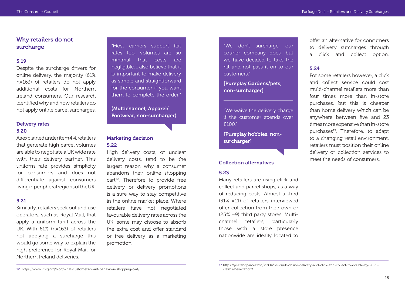# Why retailers do not surcharge

#### 5.19

Despite the surcharge drivers for online delivery, the majority (61% n=163) of retailers do not apply additional costs for Northern Ireland consumers. Our research identified why and how retailers do not apply online parcel surcharges.

### Delivery rates 5.20

As explained under item 4.4, retailers that generate high parcel volumes are able to negotiate a UK wide rate with their delivery partner. This uniform rate provides simplicity for consumers and does not differentiate against consumers living in peripheral regions of the UK.

#### 5.21

Similarly, retailers seek out and use operators, such as Royal Mail, that apply a uniform tariff across the UK. With 61% (n=163) of retailers not applying a surcharge this would go some way to explain the high preference for Royal Mail for Northern Ireland deliveries.

"Most carriers support flat rates too, volumes are so minimal that costs are negligible. I also believe that it is important to make delivery as simple and straightforward for the consumer if you want them to complete the order."

# (Multichannel, Apparel/ Footwear, non-surcharger)

# Marketing decision 5.22

High delivery costs, or unclear delivery costs, tend to be the largest reason why a consumer abandons their online shopping cart<sup>12</sup>. Therefore to provide free delivery or delivery promotions is a sure way to stay competitive in the online market place. Where retailers have not negotiated favourable delivery rates across the UK, some may choose to absorb the extra cost and offer standard or free delivery as a marketing promotion.

"We don't surcharge, our courier company does, but we have decided to take the hit and not pass it on to our customers."

[Pureplay Gardens/pets, non-surcharger]

"We waive the delivery charge if the customer spends over £100."

[Pureplay hobbies, nonsurcharger]

## Collection alternatives

## 5.23

Many retailers are using click and collect and parcel shops, as a way of reducing costs. Almost a third (31% =11) of retailers interviewed offer collection from their own or (25% =9) third party stores. Multichannel retailers, particularly those with a store presence nationwide are ideally located to

offer an alternative for consumers to delivery surcharges through a click and collect option.

#### 5.24

For some retailers however, a click and collect service could cost multi-channel retailers more than four times more than in-store purchases, but this is cheaper than home delivery which can be anywhere between five and 23 times more expensive than in-store purchases<sup>13</sup>. Therefore, to adapt to a changing retail environment, retailers must position their online delivery or collection services to meet the needs of consumers.

<sup>12</sup> https://www.imrg.org/blog/what-customers-want-behaviour-shopping-cart/

<sup>13</sup> https://postandparcel.info/71804/news/uk-online-delivery-and-click-and-collect-to-double-by-2025 claims-new-report/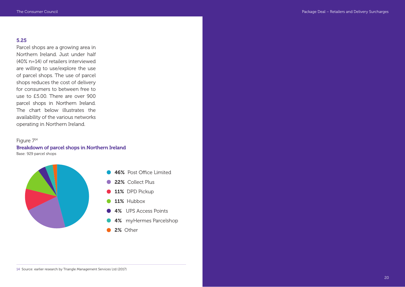Parcel shops are a growing area in Northern Ireland. Just under half (40% n=14) of retailers interviewed are willing to use/explore the use of parcel shops. The use of parcel shops reduces the cost of delivery for consumers to between free to use to £5.00. There are over 900 parcel shops in Northern Ireland. The chart below illustrates the availability of the various networks operating in Northern Ireland.

# Figure 714

Breakdown of parcel shops in Northern Ireland Base: 929 parcel shops



- 46% Post Office Limited
- 22% Collect Plus
- 11% DPD Pickup
- 11% Hubbox
- 4% UPS Access Points
- 4% myHermes Parcelshop
- 2% Other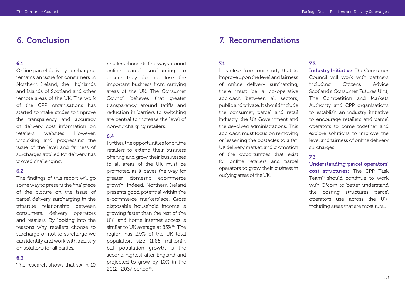# 6. Conclusion

#### 6.1

Online parcel delivery surcharging remains an issue for consumers in Northern Ireland, the Highlands and Islands of Scotland and other remote areas of the UK. The work of the CPP organisations has started to make strides to improve the transparency and accuracy of delivery cost information on retailers' websites. However, unpicking and progressing the issue of the level and fairness of surcharges applied for delivery has proved challenging.

## 6.2

The findings of this report will go some way to present the final piece of the picture on the issue of parcel delivery surcharging in the tripartite relationship between consumers, delivery operators and retailers. By looking into the reasons why retailers choose to surcharge or not to surcharge we can identify and work with industry on solutions for all parties.

#### 6.3

The research shows that six in 10

retailers choose to find ways around online parcel surcharging to ensure they do not lose the important business from outlying areas of the UK. The Consumer Council believes that greater transparency around tariffs and reduction in barriers to switching are central to increase the level of non-surcharging retailers.

## 6.4

Further, the opportunities for online retailers to extend their business offering and grow their businesses to all areas of the UK must be promoted as it paves the way for greater domestic ecommerce growth. Indeed, Northern Ireland presents good potential within the e-commerce marketplace. Gross disposable household income is growing faster than the rest of the UK15 and home internet access is similar to UK average at 83%<sup>16</sup>. The region has 2.9% of the UK total population size  $(1.86 \text{ million})^{17}$ , but population growth is the second highest after England and projected to grow by 10% in the 2012-2037 period<sup>18</sup>.

# 7. Recommendations

#### 7.1

It is clear from our study that to improve upon the level and fairness of online delivery surcharging, there must be a co-operative approach between all sectors, public and private. It should include the consumer, parcel and retail industry, the UK Government and the devolved administrations. This approach must focus on removing or lessening the obstacles to a fair UK delivery market, and promotion of the opportunities that exist for online retailers and parcel operators to grow their business in outlying areas of the UK.

## 7.2

Industry Initiative: The Consumer Council will work with partners including Citizens Advice Scotland's Consumer Futures Unit, The Competition and Markets Authority and CPP organisations to establish an industry initiative to encourage retailers and parcel operators to come together and explore solutions to improve the level and fairness of online delivery surcharges.

# 7.3

Understanding parcel operators' cost structures: The CPP Task Team19 should continue to work with Ofcom to better understand the costing structures parcel operators use across the UK, including areas that are most rural.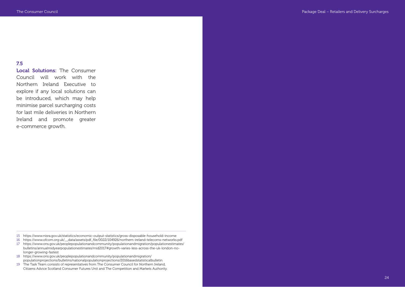Local Solutions: The Consumer Council will work with the Northern Ireland Executive to explore if any local solutions can be introduced, which may help minimise parcel surcharging costs for last mile deliveries in Northern Ireland and promote greater e-commerce growth.

- 15 https://www.nisra.gov.uk/statistics/economic-output-statistics/gross-disposable-household-income
- 16 https://www.ofcom.org.uk/\_\_data/assets/pdf\_file/0022/104926/northern-ireland-telecoms-networks.pdf
- 17 https://www.ons.gov.uk/peoplepopulationandcommunity/populationandmigration/populationestimates/ bulletins/annualmidyearpopulationestimates/mid2017#growth-varies-less-across-the-uk-london-nolonger-growing-fastest
- 18 https://www.ons.gov.uk/peoplepopulationandcommunity/populationandmigration/ populationprojections/bulletins/nationalpopulationprojections/2016basedstatisticalbulletin
- 19 The Task Team consists of representatives from The Consumer Council for Northern Ireland, Citizens Advice Scotland Consumer Futures Unit and The Competition and Markets Authority.